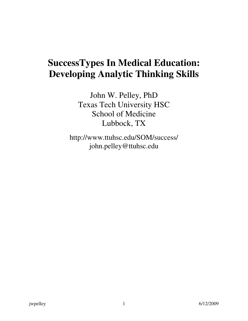# **SuccessTypes In Medical Education: Developing Analytic Thinking Skills**

John W. Pelley, PhD Texas Tech University HSC School of Medicine Lubbock, TX

http://www.ttuhsc.edu/SOM/success/ john.pelley@ttuhsc.edu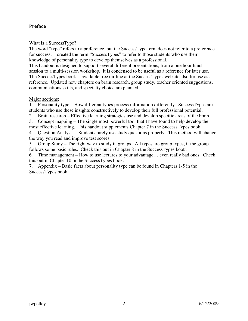# Preface

What is a SuccessType?

The word "type" refers to a preference, but the SuccessType term does not refer to a preference for success. I created the term "SuccessTypes" to refer to those students who use their knowledge of personality type to develop themselves as a professional.

This handout is designed to support several different presentations, from a one hour lunch session to a multi-session workshop. It is condensed to be useful as a reference for later use. The SuccessTypes book is available free on-line at the SuccessTypes website also for use as a reference. Updated new chapters on brain research, group study, teacher oriented suggestions, communications skills, and specialty choice are planned.

### Major sections:

1. Personality type – How different types process information differently. SuccessTypes are students who use these insights constructively to develop their full professional potential.

2. Brain research – Effective learning strategies use and develop specific areas of the brain.

3. Concept mapping – The single most powerful tool that I have found to help develop the most effective learning. This handout supplements Chapter 7 in the SuccessTypes book.

4. Question Analysis – Students rarely use study questions properly. This method will change the way you read and improve test scores.

5. Group Study – The right way to study in groups. All types are group types, if the group follows some basic rules. Check this out in Chapter 8 in the SuccessTypes book.

6. Time management – How to use lectures to your advantage… even really bad ones. Check this out in Chapter 10 in the SuccessTypes book.

7. Appendix – Basic facts about personality type can be found in Chapters 1-5 in the SuccessTypes book.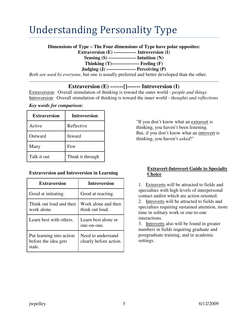# Understanding Personality Type

**Dimensions of Type – The Four dimensions of Type have polar opposites:** 

**Extraversion (E) -------------- Introversion (I)** 

**Sensing (S) ----------------- Intuition (N)** 

**Thinking (T)----------------- Feeling (F)** 

**Judging (J) ------------------ Perceiving (P)** 

*Both are used by everyone*, but one is usually preferred and better developed than the other.

# **Extraversion (E) -------[]------- Introversion (I)**

Extraversion: Overall stimulation of thinking is toward the outer world - *people and things* Introversion: Overall stimulation of thinking is toward the inner world - *thoughts and reflections*

# *Key words for comparison:*

| <b>Extraversion</b> | <b>Introversion</b> |
|---------------------|---------------------|
| Active              | Reflective          |
| Outward             | Inward              |
| Many                | Few                 |
| Talk it out         | Think it through    |

# **Extraversion and Introversion in Learning**

| <b>Extraversion</b>                                        | <b>Introversion</b>                          |  |
|------------------------------------------------------------|----------------------------------------------|--|
| Good at initiating.                                        | Good at reacting.                            |  |
| Think out loud and then<br>work alone.                     | Work alone and then<br>think out loud.       |  |
| Learn best with others.                                    | Learn best alone or<br>one-on-one.           |  |
| Put learning into action<br>before the idea gets<br>stale. | Need to understand<br>clearly before action. |  |

"If you don't know what an extravert is thinking, you haven't been listening. But, if you don't know what an introvert is thinking, you haven't *asked*!"

# **Extravert-Introvert Guide to Specialty Choice**

1. Extraverts will be attracted to fields and specialties with high levels of interpersonal contact and/or which are action oriented. 2. Introverts will be attracted to fields and specialties requiring sustained attention, more time in solitary work or one-to-one interactions.

3. Introverts also will be found in greater numbers in fields requiring graduate and postgraduate training, and in academic settings.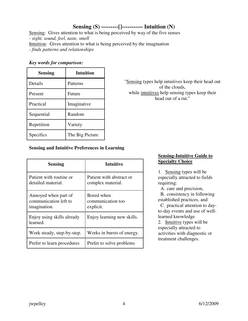# **Sensing (S) ---------[]----------- Intuition (N)**

Sensing: Gives attention to what is being perceived by way of the five senses - *sight, sound, feel, taste, smell* Intuition: Gives attention to what is being perceived by the imagination - *finds patterns and relationships* 

#### *Key words for comparison:*

| <b>Sensing</b> | Intuition       |
|----------------|-----------------|
| Details        | Patterns        |
| Present        | Future          |
| Practical      | Imaginative     |
| Sequential     | Random          |
| Repetition     | Variety         |
| Specifics      | The Big Picture |

"Sensing types help intuitives keep their head out of the clouds, while intuitives help sensing types keep their head out of a rut."

# **Sensing and Intuitive Preferences in Learning**

| <b>Sensing</b>                                                | Intuitive                                     |
|---------------------------------------------------------------|-----------------------------------------------|
| Patient with routine or<br>detailed material.                 | Patient with abstract or<br>complex material. |
| Annoyed when part of<br>communication left to<br>imagination. | Bored when<br>communication too<br>explicit.  |
| Enjoy using skills already<br>learned.                        | Enjoy learning new skills.                    |
| Work steady, step-by-step.                                    | Works in bursts of energy.                    |
| Prefer to learn procedures                                    | Prefer to solve problems                      |

# **Sensing-Intuitive Guide to Specialty Choice**

1. Sensing types will be especially attracted to fields requiring:

 A. care and precision, B. consistency in following established practices, and

 C. practical attention to dayto-day events and use of welllearned knowledge

2. Intuitive types will be especially attracted to activities with diagnostic or treatment challenges.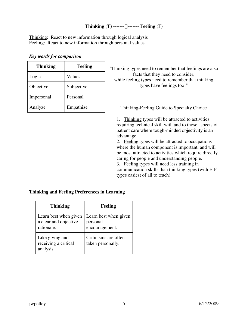# **Thinking (T) -------[]------- Feeling (F)**

Thinking: React to new information through logical analysis Feeling: React to new information through personal values

## *Key words for comparison*

| <b>Thinking</b> | Feeling    |
|-----------------|------------|
| Logic           | Values     |
| Objective       | Subjective |
| Impersonal      | Personal   |
| Analyze         | Empathize  |

"Thinking types need to remember that feelings are also facts that they need to consider, while feeling types need to remember that thinking types have feelings too!"

Thinking-Feeling Guide to Specialty Choice

1. Thinking types will be attracted to activities requiring technical skill with and to those aspects of patient care where tough-minded objectivity is an advantage.

2. Feeling types will be attracted to occupations where the human component is important, and will be most attracted to activities which require directly caring for people and understanding people. 3. Feeling types will need less training in communication skills than thinking types (with E-F types easiest of all to teach).

# **Thinking and Feeling Preferences in Learning**

| <b>Thinking</b>                                              | Feeling                                             |
|--------------------------------------------------------------|-----------------------------------------------------|
| Learn best when given<br>a clear and objective<br>rationale. | Learn best when given<br>personal<br>encouragement. |
| Like giving and<br>receiving a critical<br>analysis.         | Criticisms are often<br>taken personally.           |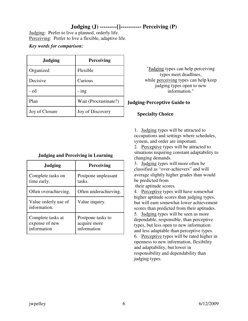# **Judging (J) ---------[]----------- Perceiving (P)**

Judging: Prefer to live a planned, orderly life. Perceiving: Prefer to live a flexible, adaptive life.

*Key words for comparison:* 

| <b>Judging</b> | <b>Perceiving</b>     |
|----------------|-----------------------|
| Organized      | Flexible              |
| Decisive       | Curious               |
| - ed           | - ing                 |
| Plan           | Wait (Procrastinate?) |
| Joy of Closure | Joy of Discovery      |

| <b>Judging and Perceiving in Learning</b> |  |  |  |  |  |  |
|-------------------------------------------|--|--|--|--|--|--|
|-------------------------------------------|--|--|--|--|--|--|

| <b>Judging</b>                                     | <b>Perceiving</b>                                |  |  |
|----------------------------------------------------|--------------------------------------------------|--|--|
| Complete tasks on<br>time early.                   | Postpone unpleasant<br>tasks.                    |  |  |
| Often overachieving.                               | Often underachieving.                            |  |  |
| Value orderly use of<br>information.               | Value inquiry.                                   |  |  |
| Complete tasks at<br>expense of new<br>information | Postpone tasks to<br>acquire more<br>information |  |  |

"Judging types can help perceiving types meet deadlines, while perceiving types can help keep judging types open to new information."

# Judging-Perceptive Guide to

# Specialty Choice

1. Judging types will be attracted to occupations and settings where schedules, system, and order are important.

2. Perceptive types will be attracted to situations requiring constant adaptability to changing demands.

3. Judging types will more often be classified as "over-achievers" and will average slightly higher grades than would be predicted from

their aptitude scores.

4. Perceptive types will have somewhat higher aptitude scores than judging types, but will earn somewhat lower achievement scores than predicted from their aptitudes.

5. Judging types will be seen as more dependable, responsible, than perceptive types, but less open to new information and less adaptable than perceptive types.

6. Perceptive types will be rated higher in openness to new information, flexibility and adaptability, but lower in responsibility and dependability than judging types.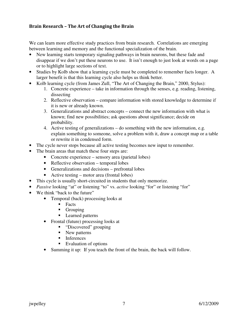# Brain Research – The Art of Changing the Brain

We can learn more effective study practices from brain research. Correlations are emerging between learning and memory and the functional specialization of the brain.

- New learning starts temporary signaling pathways in brain neurons, but these fade and disappear if we don't put these neurons to use. It isn't enough to just look at words on a page or to highlight large sections of text.
- Studies by Kolb show that a learning cycle must be completed to remember facts longer. A larger benefit is that this learning cycle also helps us think better.
- Kolb learning cycle (from James Zull, "The Art of Changing the Brain," 2000, Stylus):
	- 1. Concrete experience take in information through the senses, e.g. reading, listening, dissecting
	- 2. Reflective observation compare information with stored knowledge to determine if it is new or already known.
	- 3. Generalizations and abstract concepts connect the new information with what is known; find new possibilities; ask questions about significance; decide on probability.
	- 4. Active testing of generalizations do something with the new information, e.g. explain something to someone, solve a problem with it, draw a concept map or a table or rewrite it in condensed form.
- The cycle never stops because all active testing becomes new input to remember.
- The brain areas that match these four steps are:
	- Concrete experience sensory area (parietal lobes)
	- Reflective observation temporal lobes
	- Generalizations and decisions prefrontal lobes
	- Active testing motor area (frontal lobes)
- This cycle is usually short-circuited in students that only memorize.
- *Passive* looking "at" or listening "to" vs. *active* looking "for" or listening "for"
- We think "back to the future"
	- Temporal (back) processing looks at
		- $\blacksquare$  Facts
		- **Grouping**
		- Learned patterns
	- Frontal (future) processing looks at
		- "Discovered" grouping
		- New patterns
		- **Inferences**
		- Evaluation of options
	- Summing it up: If you teach the front of the brain, the back will follow.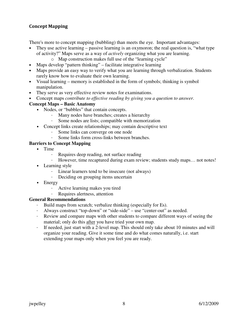# Concept Mapping

There's more to concept mapping (bubbling) than meets the eye. Important advantages:

- They use active learning passive learning is an oxymoron; the real question is, "what type of activity?" Maps serve as a way of *actively* organizing what you are learning.
	- o Map construction makes full use of the "learning cycle"
- Maps develop "pattern thinking" facilitate integrative learning
- Maps provide an easy way to verify what you are learning through verbalization. Students rarely know how to evaluate their own learning.
- Visual learning memory is established in the form of symbols; thinking is symbol manipulation.
- They serve as very effective review notes for examinations.
- Concept maps *contribute to effective reading by giving you a question to answer*.

# **Concept Maps – Basic Anatomy**

- Nodes, or "bubbles" that contain concepts.
	- Many nodes have branches; creates a hierarchy
	- Some nodes are lists; compatible with memorization
- Concept links create relationships; may contain descriptive text
	- Some links can converge on one node
	- Some links form cross-links between branches.

# **Barriers to Concept Mapping**

- Time
	- Requires deep reading, not surface reading
	- However, time recaptured during exam review; students study maps… not notes!
- Learning style
	- Linear learners tend to be insecure (not always)
	- Deciding on grouping items uncertain
- Energy
	- Active learning makes you tired
	- Requires alertness, attention

# **General Recommendations**

- Build maps from scratch; verbalize thinking (especially for Es).
- Always construct "top-down" or "side-side" use "center-out" as needed.
- Review and compare maps with other students to compare different ways of seeing the material; only do this after you have tried your own map.
- If needed, just start with a 2-level map. This should only take about 10 minutes and will organize your reading. Give it some time and do what comes naturally, i.e. start extending your maps only when you feel you are ready.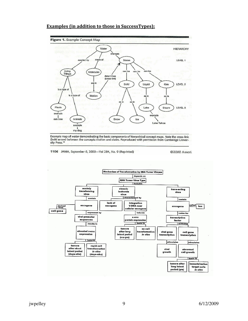

#### Examples (in addition to those in SuccessTypes):

Example map of water demonstrating the basic components of hierarchical concept maps. Note the cross-link<br>(bold arrow) between the concepts motion and states. Reproduced with permission from Cambridge Univer-<br>sity Press.<sup>1</sup>

1106 JAMA, September 6, 2000-Vol 284, No. 9 (Reprinted)

©2000 Ameri

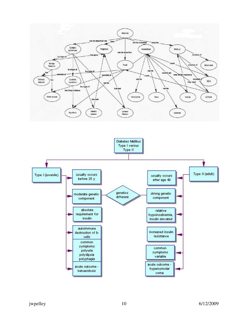

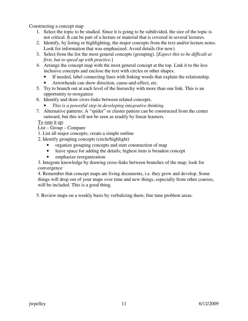Constructing a concept map

- 1. Select the topic to be studied. Since it is going to be subdivided, the size of the topic is not critical. It can be part of a lecture or material that is covered in several lectures.
- 2. Identify, by listing or highlighting, the major concepts from the text and/or lecture notes. Look for information that was emphasized. Avoid details (for now).
- 3. Select from the list the most general concepts (grouping). [*Expect this to be difficult at first, but to speed up with practice.*]
- 4. Arrange the concept map with the most general concept at the top. Link it to the less inclusive concepts and enclose the text with circles or other shapes.
	- If needed, label connecting lines with linking words that explain the relationship.
	- Arrowheads can show direction, cause-and-effect, etc.
- 5. Try to branch out at each level of the hierarchy with more than one link. This is an opportunity to reorganize
- 6. Identify and draw cross-links between related concepts.
	- *This is a powerful step in developing integrative thinking.*
- 7. Alternative patterns: A "spider" or cluster pattern can be constructed from the center outward, but this will not be seen as readily by linear learners.

To sum it up:

- List Group Compare
- 1. List all major concepts; create a simple outline
- 2. Identify grouping concepts (circle/highlight)
	- organize grouping concepts and start construction of map
	- leave space for adding the details; highest item is broadest concept
	- emphasize reorganization

3. Integrate knowledge by drawing cross-links between branches of the map; look for convergence

4. Remember that concept maps are living documents, i.e. they grow and develop. Some things will drop out of your maps over time and new things, especially from other courses, will be included. This is a good thing.

5. Review maps on a weekly basis by verbalizing them; fine tune problem areas.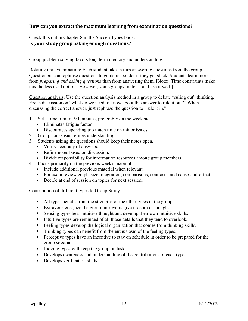# How can you extract the maximum learning from examination questions?

Check this out in Chapter 8 in the SuccessTypes book. Is your study group asking enough questions?

Group problem solving favors long term memory and understanding.

Rotating oral examination: Each student takes a turn answering questions from the group. Questioners can rephrase questions to guide responder if they get stuck. Students learn more from *preparing and asking questions* than from answering them. [Note: Time constraints make this the less used option. However, some groups prefer it and use it well.]

Question analysis: Use the question analysis method in a group to debate "ruling out" thinking. Focus discussion on "what do we need to know about this answer to rule it out?" When discussing the correct answer, just rephrase the question to "rule it in."

- 1. Set a time limit of 90 minutes, preferably on the weekend.
	- Eliminates fatigue factor
	- Discourages spending too much time on minor issues
- 2. Group consensus refines understanding.
- 3. Students asking the questions should keep their notes open.
	- Verify accuracy of answers.
	- Refine notes based on discussion.
	- Divide responsibility for information resources among group members.
- 4. Focus primarily on the previous week's material
	- Include additional previous material when relevant.
	- For exam review emphasize integration; comparisons, contrasts, and cause-and-effect.
	- Decide at end of session on topics for next session.

#### Contribution of different types to Group Study

- All types benefit from the strengths of the other types in the group.
- Extraverts energize the group; introverts give it depth of thought.
- Sensing types hear intuitive thought and develop their own intuitive skills.
- Intuitive types are reminded of all those details that they tend to overlook.
- Feeling types develop the logical organization that comes from thinking skills.
- Thinking types can benefit from the enthusiasm of the feeling types.
- Perceptive types have an incentive to stay on schedule in order to be prepared for the group session.
- Judging types will keep the group on task
- Develops awareness and understanding of the contributions of each type
- Develops verification skills